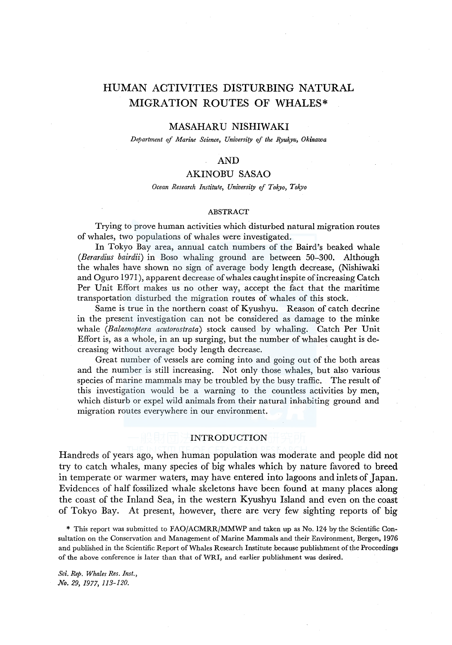# HUMAN ACTIVITIES DISTURBING NATURAL MIGRATION ROUTES OF WHALES\*

# MASAHARU NISHIWAKI

*Department of Marine Science, University of the Ryukyu, Okinawa* 

# AND

# AKINOBU SASAO

### *Ocean Research Institute, University of Tokyo, Tokyo*

### ABSTRACT

Trying to prove human activities which disturbed natural migration routes of whales, two populations of whales were investigated.

In Tokyo Bay area, annual catch numbers of the Baird's beaked whale *(Berardius bairdii)* in Boso whaling ground are between 50-300. Although the whales have shown no sign of average body length decrease, (Nishiwaki and Oguro 1971 ), apparent decrease of whales caught inspite of increasing Catch Per Unit Effort makes us no other way, accept the fact that the maritime transportation disturbed the migration routes of whales of this stock.

Same is true in the northern coast of Kyushyu. Reason of catch decrine in the present investigation can not be considered as damage to the minke whale *(Balaenoptera acutorostrata)* stock caused by whaling. Catch Per Unit Effort is, as a whole, in an up surging, but the number of whales caught is decreasing without average body length decrease.

Great number of vessels are coming into and going out of the both areas and the number is still increasing. Not only those whales, but also various species of marine mammals may be troubled by the busy traffic. The result of this investigation would be a warning to the countless activities by men, which disturb or expel wild animals from their natural inhabiting ground and migration routes everywhere in our environment.

# INTRODUCTION

Handreds of years ago, when human population was moderate and people did not try to catch whales, many species of big whales which by nature favored to breed in temperate or warmer waters, may have entered into lagoons and inlets of Japan. Evidences of half fossilized whale skeletons have been found at many places along the coast of the Inland Sea, in the western K yushyu Island and even on the coast of Tokyo Bay. At present, however, there are very few sighting reports of big

\* This report was submitted to FAO/ACMRR/MMWP and taken up as No. 124 by the Scientific Consultation on the Conservation and Management of Marine Mammals and their Environment, Bergen, 1976 and published in the Scientific Report of Whales Research Institute because publishment of the Proceedings of the above conference is later than that of WRI, and earlier publishment was desired.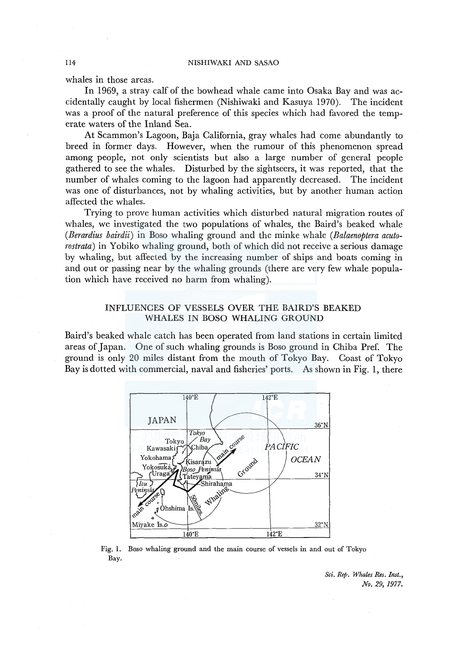whales in those areas.

In 1969, a stray calf of the bowhead whale came into Osaka Bay and was accidentally caught by local fishermen (Nishiwaki and Kasuya 1970). The incident was a proof of the natural preference of this species which had favored the temperate waters of the Inland Sea.

At Scammon's Lagoon, Baja California, gray whales had come abundantly to breed in former days. However, when the rumour of this phenomenon spread among people, not only scientists but also a large number of general people gathered to see the whales. Disturbed by the sightseers, it was reported, that the number of whales coming to the lagoon had apparently decreased. The incident was one of disturbances, not by whaling activities, but by another human action affected the whales.

Trying to prove human activities which disturbed natural migration routes of whales, we investigated the two populations of whales, the Baird's beaked whale *(Berardius bairdii)* in Boso whaling ground and the minke whale *(Balaenoptera acutorostrata)* in Yobiko whaling ground, both of which did not receive a serious damage by whaling, but affected by the increasing number of ships and boats coming in and out or passing near by the whaling grounds (there are very few whale population which have received no harm from whaling).

# INFLUENCES OF VESSELS OVER THE BAIRD'S BEAKED WHALES IN BOSO WHALING GROUND

Baird's beaked whale catch has been operated from land stations in certain limited areas of Japan. One of such whaling grounds is Boso ground in Chiba Pref. The ground is only 20 miles distant from the mouth of Tokyo Bay. Coast of Tokyo Bay is dotted with commercial, naval and fisheries' ports. As shown in Fig. 1, there



Fig. I. Boso whaling ground and the main course of vessels in and out of Tokyo Bay.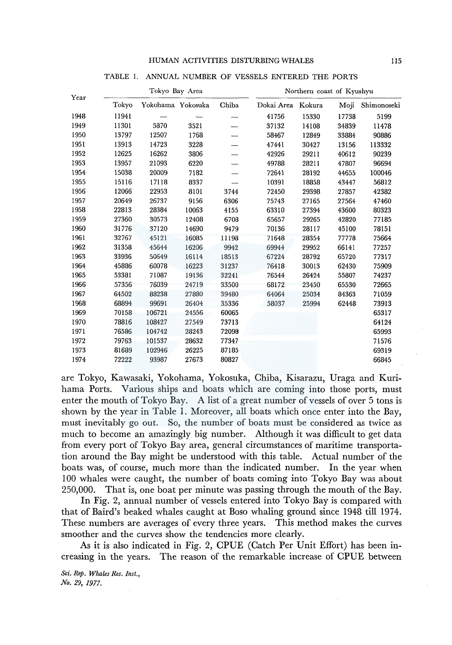| Year |       | Tokyo Bay Area    |       |       | Northern coast of Kyushyu |        |       |             |  |  |
|------|-------|-------------------|-------|-------|---------------------------|--------|-------|-------------|--|--|
|      | Tokyo | Yokohama Yokosuka |       | Chiba | Dokai Area                | Kokura | Moji  | Shimonoseki |  |  |
| 1948 | 11941 |                   |       | ∼–    | 41756                     | 15330  | 17738 | 5199        |  |  |
| 1949 | 11301 | 5870              | 3521  |       | 37132                     | 14108  | 34839 | 11478       |  |  |
| 1950 | 13797 | 12507             | 1768  |       | 58467                     | 12849  | 33884 | 90886       |  |  |
| 1951 | 13913 | 14723             | 3228  |       | 47441                     | 30427  | 13156 | 113332      |  |  |
| 1952 | 12625 | 16262             | 3806  |       | 42926                     | 29211  | 40612 | 90239       |  |  |
| 1953 | 13957 | 21093             | 6220  |       | 49788                     | 28211  | 47807 | 96694       |  |  |
| 1954 | 15038 | 20009             | 7182  |       | 72641                     | 28192  | 44655 | 100046      |  |  |
| 1955 | 15116 | 17118             | 8337  |       | 10391                     | 18858  | 43447 | 56812       |  |  |
| 1956 | 12066 | 22953             | 8101  | 3744  | 72450                     | 29398  | 27857 | 42382       |  |  |
| 1957 | 20649 | 26737             | 9156  | 6306  | 75743                     | 27165  | 27564 | 47460       |  |  |
| 1958 | 22813 | 28384             | 10063 | 4155  | 63310                     | 27394  | 43600 | 80323       |  |  |
| 1959 | 27360 | 30573             | 12408 | 6708  | 65657                     | 29265  | 42820 | 77185       |  |  |
| 1960 | 31776 | 37120             | 14690 | 9479  | 70136                     | 28117  | 45100 | 78151       |  |  |
| 1961 | 32767 | 45121             | 16085 | 11198 | 71648                     | 28354  | 77778 | 75664       |  |  |
| 1962 | 31358 | 45644             | 16206 | 9942  | 69944                     | 29952  | 66141 | 77257       |  |  |
| 1963 | 33936 | 50649             | 16114 | 18513 | 67224                     | 28792  | 65720 | 77317       |  |  |
| 1964 | 45886 | 60078             | 16223 | 31237 | 76418                     | 30013  | 62430 | 75909       |  |  |
| 1965 | 53381 | 71087             | 19136 | 32241 | 76544                     | 26424  | 55807 | 74237       |  |  |
| 1966 | 57356 | 76039             | 24719 | 33500 | 68172                     | 23450  | 65530 | 72665       |  |  |
| 1967 | 64502 | 88238             | 27880 | 39480 | 64064                     | 25034  | 84363 | 71059       |  |  |
| 1968 | 68894 | 99691             | 26404 | 35336 | 58037                     | 25994  | 62448 | 73913       |  |  |
| 1969 | 70158 | 106721            | 24556 | 60065 |                           |        |       | 65317       |  |  |
| 1970 | 78816 | 108427            | 27549 | 73713 |                           |        |       | 64124       |  |  |
| 1971 | 76586 | 104742            | 28243 | 72098 |                           |        |       | 65993       |  |  |
| 1972 | 79763 | 101537            | 28632 | 77347 |                           |        |       | 71576       |  |  |
| 1973 | 81689 | 102946            | 26225 | 87185 |                           |        |       | 69319       |  |  |

TABLE I. ANNUAL NUMBER OF VESSELS ENTERED THE PORTS

are Tokyo, Kawasaki, Yokohama, Yokosuka, Chiba, Kisarazu, Uraga and Kurihama Ports. Various ships and boats which are coming into those ports, must enter the mouth of Tokyo Bay. A list of a great number of vessels of over 5 tons is shown by the year in Table 1. Moreover, all boats which once enter into the Bay, must inevitably go out. So, the number of boats must be considered as twice as much to become an amazingly big number. Although it was difficult to get data from every port of Tokyo Bay area, general circumstances of maritime transportation around the Bay might be understood with this table. Actual number of the boats was, of course, much more than the indicated number. In the year when 100 whales were caught, the number of boats coming into Tokyo Bay was about 250,000. That is, one boat per minute was passing through the mouth of the Bay.

1974 72222 93987 27673 80827 66845

In Fig. 2, annual number of vessels entered into Tokyo Bay is compared with that of Baird's beaked whales caught at Boso whaling ground since 1948 till 1974. These numbers are averages of every three years. This method makes the curves smoother and the curves show the tendencies more clearly.

As it is also indicated in Fig. 2, CPUE (Catch Per Unit Effort) has been increasing in the years. The reason of the remarkable increase of CPUE between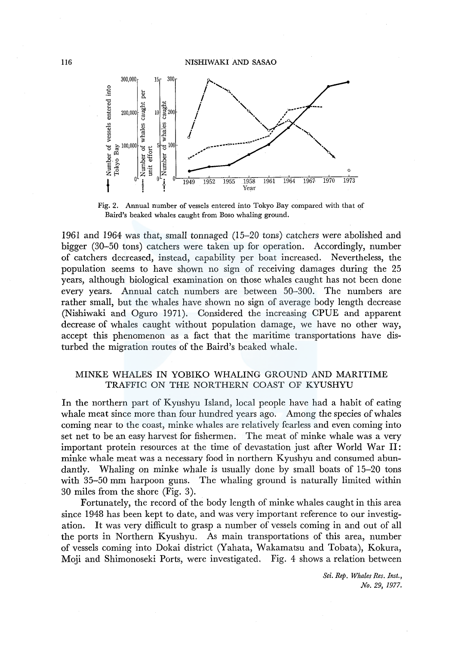

Fig. 2. Annual number of vessels entered into Tokyo Bay compared with that of Baird's beaked whales caught from Boso whaling ground.

1961 and 1964 was that, small tonnaged (15-20 tons) catchers were abolished and bigger (30-50 tons) catchers were taken up for operation. Accordingly, number of catchers decreased, instead, capability per boat increased. Nevertheless, the population seems to have shown no sign of receiving damages during the 25 years, although biological examination on those whales caught has not been done every years. Annual catch numbers are between 50-300. The numbers are rather small, but the whales have shown no sign of average body length decrease (Nishiwaki and Oguro 1971). Considered the increasing CPUE and apparent decrease of whales caught without population damage, we have no other way, accept this phenomenon as a fact that the maritime transportations have disturbed the migration routes of the Baird's beaked whale.

# MINKE WHALES IN YOBIKO WHALING GROUND AND MARITIME TRAFFIC ON THE NORTHERN COAST OF KYUSHYU

In the northern part of Kyushyu Island, local people have had a habit of eating whale meat since more than four hundred years ago. Among the species of whales coming near to the coast, minke whales are relatively fearless and even coming into set net to be an easy harvest for fishermen. The meat of minke whale was a very important protein resources at the time of devastation just after World War II: minke whale meat was a necessary food in northern Kyushyu and consumed abundantly. Whaling on minke whale is usually done by small boats of 15-20 tons with 35-50 mm harpoon guns. The whaling ground is naturally limited within 30 miles from the shore (Fig. 3).

Fortunately, the record of the body length of minke whales caught in this area since 1948 has been kept to date, and was very important reference to our investigation. It was very difficult to grasp a number of vessels coming in and out of all the ports in Northern Kyushyu. As main transportations of this area, number of vessels coming into Dokai district (Yahata, Wakamatsu and Tobata), Kokura, Moji and Shimonoseki Ports, were investigated. Fig. 4 shows a relation between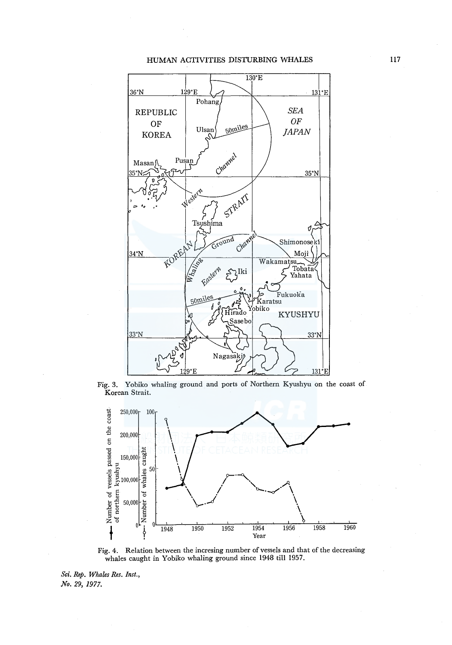### HUMAN ACTIVITIES DISTURBING WHALES



Fig. 3. Yobiko whaling ground and ports of Northern Kyushyu on the coast of Korean Strait.



Fig. 4. Relation between the incresing number of vessels and that of the decreasing whales caught in Yobiko whaling ground since 1948 till 1957.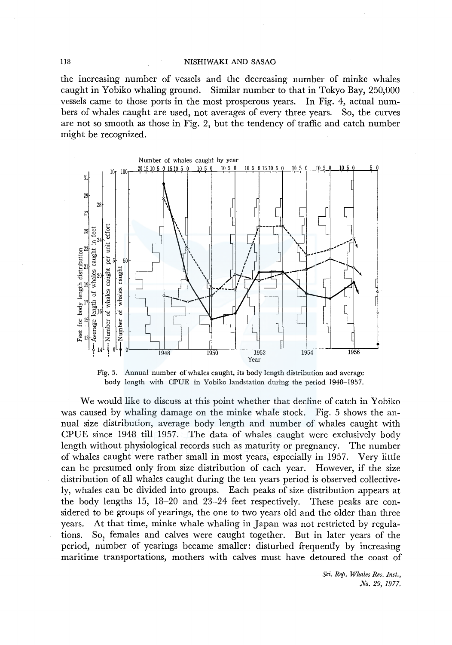### 118 NISHIWAKI AND SASAO

the increasing number of vessels and the decreasing number of minke whales caught in Yobiko whaling ground. Similar number to that in Tokyo Bay, 250,000 vessels came to those ports in the most prosperous years. In Fig. 4, actual numbers of whales caught are used, not averages of every three years. So, the curves are not so smooth as those in Fig. 2, but the tendency of traffic and catch number might be recognized.





We would like to discuss at this point whether that decline of catch in Yobiko was caused by whaling damage on the minke whale stock. Fig. 5 shows the annual size distribution, average body length and number of whales caught with CPUE since 1948 till 1957. The data of whales caught were exclusively body length without physiological records such as maturity or pregnancy. The number of whales caught were rather small in most years, especially in 1957. Very little can be presumed only from size distribution of each year. However, if the size distribution of all whales caught during the ten years period is observed collectively, whales can be divided into groups. Each peaks of size distribution appears at the body lengths 15, 18-20 and 23-24 feet respectively. These peaks are considered to be groups of yearings, the one to two years old and the older than three years. At that time, minke whale whaling in Japan was not restricted by regulations. So, females and calves were caught together. But in later years of the period, number of yearings became smaller: disturbed frequently by increasing maritime transportations, mothers with calves must have detoured the coast of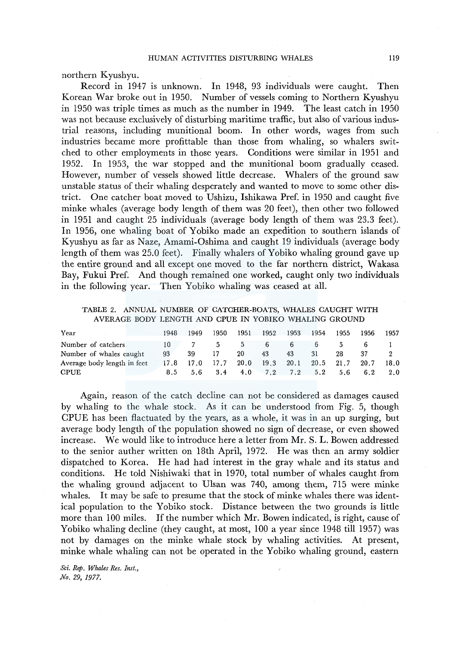northern Kyushyu.

Record in 1947 is unknown. In 1948, 93 individuals were caught. Then Korean War broke out in 1950. Number of vessels coming to Northern Kyushyu in 1950 was triple times as much as the number in 1949. The least catch in 1950 was not because exclusively of disturbing maritime traffic, but also of various industrial reasons, including munitional boom. In other words, wages from such industries became more profittable than those from whaling, so whalers switched to other employments in those years. Conditions were similar in 1951 and 1952. In 1953, the war stopped and the munitional boom gradually ceased. However, number of vessels showed little decrease. Whalers of the ground saw unstable status of their whaling desperately and wanted to move to some other district. One catcher boat moved to Ushizu, Ishikawa Pref. in 1950 and caught five minke whales (average body length of them was 20 feet), then other two followed in 1951 and caught 25 individuals (average body length of them was 23.3 feet). In 1956, one whaling boat of Yobiko made an expedition to southern islands of Kyushyu as far as Naze, Amami-Oshima and caught 19 individuals (average body length of them was 25.0 feet). Finally whalers of Yobiko whaling ground gave up the entire ground and all except one moved to the far northern district, Wakasa Bay, Fukui Pref. And though remained one worked, caught only two individuals in the following year. Then Yobiko whaling was ceased at all.

TABLE 2. ANNUAL NUMBER OF CATCHER-BOATS, WHALES CAUGHT WITH AVERAGE BODY LENGTH AND CPUE IN YOBIKO WHALING GROUND

| 1948                          | 1949 | 1950 | 1951 |                |    |                                         | 1955 | 1956                        | 1957                        |
|-------------------------------|------|------|------|----------------|----|-----------------------------------------|------|-----------------------------|-----------------------------|
| 10.                           |      | 5.   |      |                | 6  |                                         | D.   |                             |                             |
| Number of whales caught<br>93 | 39   | 17   | 20   | 43             | 43 | 31                                      | 28.  | 37                          |                             |
| Average body length in feet   |      |      |      |                |    |                                         |      |                             | 18.0                        |
|                               |      |      |      |                |    |                                         |      |                             | 2.0                         |
|                               |      |      |      | 17.8 17.0 17.7 | 5  | 1952 1953<br>$6\quad$<br>20.0 19.3 20.1 | 1954 | 8.5 5.6 3.4 4.0 7.2 7.2 5.2 | $20.5$ 21.7 20.7<br>5.6 6.2 |

Again, reason of the catch decline can not be considered as damages caused by whaling to the whale stock. As it can be understood from Fig. 5, though CPUE has been flactuated by the years, as a whole, it was in an up surging, but average body length of the population showed no sign of decrease, or even showed mcrease. We would like to introduce here a letter from Mr. S. L. Bowen addressed to the senior auther written on 18th April, 1972. He was then an army soldier dispatched to Korea. He had had interest in the gray whale and its status and conditions. He told Nishiwaki that in 1970, total number of whales caught from the whaling ground adjacent to Ulsan was 740, among them, 715 were minke whales. It may be safe to presume that the stock of minke whales there was identical population to the Yobiko stock. Distance between the two grounds is little more than 100 miles. If the number which Mr. Bowen indicated, is right, cause of Yobiko whaling decline (they caught, at most, 100 a year since 1948 till 1957) was not by damages on the minke whale stock by whaling activities. At present, minke whale whaling can not be operated in the Yobiko whaling ground, eastern